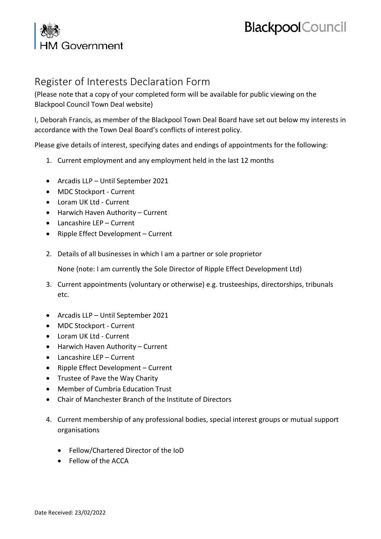## **Blackpool** Council

## A Government

## Register of Interests Declaration Form

(Please note that a copy of your completed form will be available for public viewing on the Blackpool Council Town Deal website)

I, Deborah Francis, as member of the Blackpool Town Deal Board have set out below my interests in accordance with the Town Deal Board's conflicts of interest policy.

Please give details of interest, specifying dates and endings of appointments for the following:

- 1. Current employment and any employment held in the last 12 months
- Arcadis LLP Until September 2021
- MDC Stockport Current
- Loram UK Ltd Current
- Harwich Haven Authority Current
- Lancashire LEP Current
- Ripple Effect Development Current
- 2. Details of all businesses in which I am a partner or sole proprietor

None (note: I am currently the Sole Director of Ripple Effect Development Ltd)

- 3. Current appointments (voluntary or otherwise) e.g. trusteeships, directorships, tribunals etc.
- Arcadis LLP Until September 2021
- MDC Stockport Current
- Loram UK Ltd Current
- Harwich Haven Authority Current
- Lancashire LEP Current
- Ripple Effect Development Current
- Trustee of Pave the Way Charity
- Member of Cumbria Education Trust
- Chair of Manchester Branch of the Institute of Directors
- 4. Current membership of any professional bodies, special interest groups or mutual support organisations
	- Fellow/Chartered Director of the IoD
	- Fellow of the ACCA